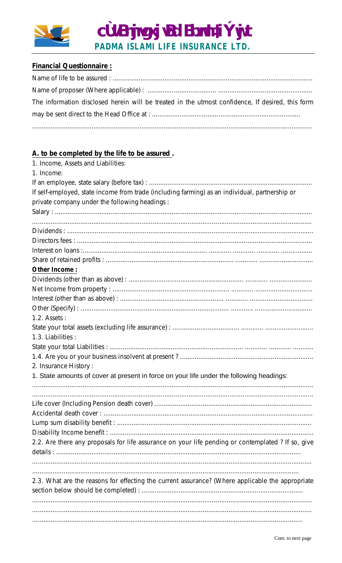

## **Financial Questionnaire:**

| The information disclosed herein will be treated in the utmost confidence, If desired, this form |
|--------------------------------------------------------------------------------------------------|
|                                                                                                  |
|                                                                                                  |

## A. to be completed by the life to be assured.

| 1. Income, Assets and Liabilities:                                                                 |
|----------------------------------------------------------------------------------------------------|
| 1. Income:                                                                                         |
|                                                                                                    |
| If self-employed, state income from trade (including farming) as an individual, partnership or     |
| private company under the following headings :                                                     |
|                                                                                                    |
|                                                                                                    |
|                                                                                                    |
|                                                                                                    |
|                                                                                                    |
|                                                                                                    |
| Other Income:                                                                                      |
|                                                                                                    |
|                                                                                                    |
|                                                                                                    |
|                                                                                                    |
| 1.2. Assets:                                                                                       |
|                                                                                                    |
| 1.3. Liabilities :                                                                                 |
|                                                                                                    |
|                                                                                                    |
| 2. Insurance History:                                                                              |
| 1. State amounts of cover at present in force on your life under the following headings:           |
|                                                                                                    |
|                                                                                                    |
|                                                                                                    |
|                                                                                                    |
|                                                                                                    |
|                                                                                                    |
| 2.2. Are there any proposals for life assurance on your life pending or contemplated ? If so, give |
|                                                                                                    |
|                                                                                                    |
|                                                                                                    |
| 2.3. What are the reasons for effecting the current assurance? (Where applicable the appropriate   |
|                                                                                                    |
|                                                                                                    |
|                                                                                                    |
|                                                                                                    |